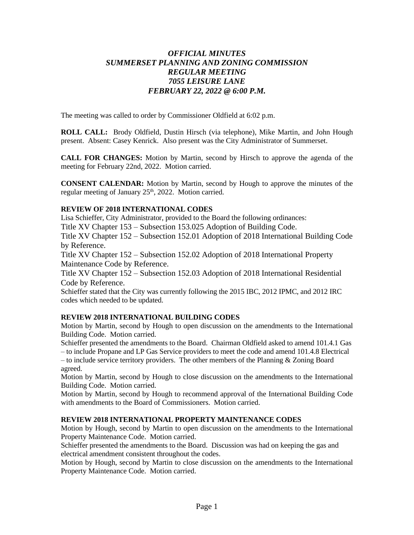# *OFFICIAL MINUTES SUMMERSET PLANNING AND ZONING COMMISSION REGULAR MEETING 7055 LEISURE LANE FEBRUARY 22, 2022 @ 6:00 P.M.*

The meeting was called to order by Commissioner Oldfield at 6:02 p.m.

**ROLL CALL:** Brody Oldfield, Dustin Hirsch (via telephone), Mike Martin, and John Hough present. Absent: Casey Kenrick. Also present was the City Administrator of Summerset.

**CALL FOR CHANGES:** Motion by Martin, second by Hirsch to approve the agenda of the meeting for February 22nd, 2022. Motion carried.

**CONSENT CALENDAR:** Motion by Martin, second by Hough to approve the minutes of the regular meeting of January 25<sup>th</sup>, 2022. Motion carried.

# **REVIEW OF 2018 INTERNATIONAL CODES**

Lisa Schieffer, City Administrator, provided to the Board the following ordinances:

Title XV Chapter 153 – Subsection 153.025 Adoption of Building Code.

Title XV Chapter 152 – Subsection 152.01 Adoption of 2018 International Building Code by Reference.

Title XV Chapter 152 – Subsection 152.02 Adoption of 2018 International Property Maintenance Code by Reference.

Title XV Chapter 152 – Subsection 152.03 Adoption of 2018 International Residential Code by Reference.

Schieffer stated that the City was currently following the 2015 IBC, 2012 IPMC, and 2012 IRC codes which needed to be updated.

# **REVIEW 2018 INTERNATIONAL BUILDING CODES**

Motion by Martin, second by Hough to open discussion on the amendments to the International Building Code. Motion carried.

Schieffer presented the amendments to the Board. Chairman Oldfield asked to amend 101.4.1 Gas – to include Propane and LP Gas Service providers to meet the code and amend 101.4.8 Electrical

 $-$  to include service territory providers. The other members of the Planning  $\&$  Zoning Board agreed.

Motion by Martin, second by Hough to close discussion on the amendments to the International Building Code. Motion carried.

Motion by Martin, second by Hough to recommend approval of the International Building Code with amendments to the Board of Commissioners. Motion carried.

#### **REVIEW 2018 INTERNATIONAL PROPERTY MAINTENANCE CODES**

Motion by Hough, second by Martin to open discussion on the amendments to the International Property Maintenance Code. Motion carried.

Schieffer presented the amendments to the Board. Discussion was had on keeping the gas and electrical amendment consistent throughout the codes.

Motion by Hough, second by Martin to close discussion on the amendments to the International Property Maintenance Code. Motion carried.